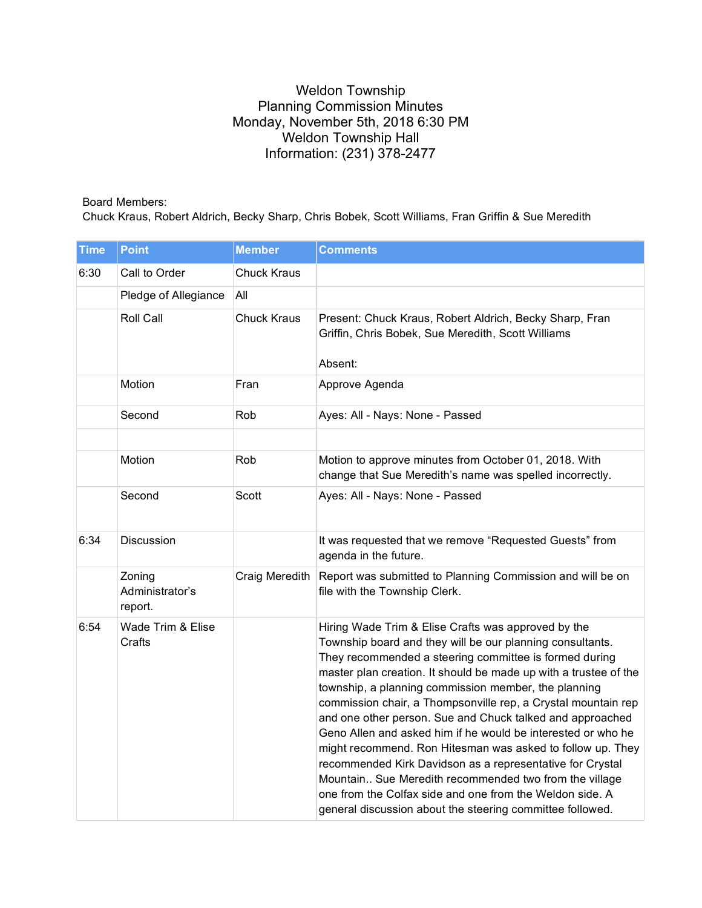## Weldon Township Planning Commission Minutes Monday, November 5th, 2018 6:30 PM Weldon Township Hall Information: (231) 378-2477

## Board Members:

Chuck Kraus, Robert Aldrich, Becky Sharp, Chris Bobek, Scott Williams, Fran Griffin & Sue Meredith

| <b>Time</b> | <b>Point</b>                         | <b>Member</b>      | <b>Comments</b>                                                                                                                                                                                                                                                                                                                                                                                                                                                                                                                                                                                                                                                                                                                                                                                                    |
|-------------|--------------------------------------|--------------------|--------------------------------------------------------------------------------------------------------------------------------------------------------------------------------------------------------------------------------------------------------------------------------------------------------------------------------------------------------------------------------------------------------------------------------------------------------------------------------------------------------------------------------------------------------------------------------------------------------------------------------------------------------------------------------------------------------------------------------------------------------------------------------------------------------------------|
| 6:30        | Call to Order                        | <b>Chuck Kraus</b> |                                                                                                                                                                                                                                                                                                                                                                                                                                                                                                                                                                                                                                                                                                                                                                                                                    |
|             | Pledge of Allegiance                 | All                |                                                                                                                                                                                                                                                                                                                                                                                                                                                                                                                                                                                                                                                                                                                                                                                                                    |
|             | Roll Call                            | <b>Chuck Kraus</b> | Present: Chuck Kraus, Robert Aldrich, Becky Sharp, Fran<br>Griffin, Chris Bobek, Sue Meredith, Scott Williams<br>Absent:                                                                                                                                                                                                                                                                                                                                                                                                                                                                                                                                                                                                                                                                                           |
|             | Motion                               | Fran               | Approve Agenda                                                                                                                                                                                                                                                                                                                                                                                                                                                                                                                                                                                                                                                                                                                                                                                                     |
|             | Second                               | Rob                | Ayes: All - Nays: None - Passed                                                                                                                                                                                                                                                                                                                                                                                                                                                                                                                                                                                                                                                                                                                                                                                    |
|             |                                      |                    |                                                                                                                                                                                                                                                                                                                                                                                                                                                                                                                                                                                                                                                                                                                                                                                                                    |
|             | Motion                               | Rob                | Motion to approve minutes from October 01, 2018. With<br>change that Sue Meredith's name was spelled incorrectly.                                                                                                                                                                                                                                                                                                                                                                                                                                                                                                                                                                                                                                                                                                  |
|             | Second                               | Scott              | Ayes: All - Nays: None - Passed                                                                                                                                                                                                                                                                                                                                                                                                                                                                                                                                                                                                                                                                                                                                                                                    |
| 6:34        | Discussion                           |                    | It was requested that we remove "Requested Guests" from<br>agenda in the future.                                                                                                                                                                                                                                                                                                                                                                                                                                                                                                                                                                                                                                                                                                                                   |
|             | Zoning<br>Administrator's<br>report. | Craig Meredith     | Report was submitted to Planning Commission and will be on<br>file with the Township Clerk.                                                                                                                                                                                                                                                                                                                                                                                                                                                                                                                                                                                                                                                                                                                        |
| 6:54        | Wade Trim & Elise<br>Crafts          |                    | Hiring Wade Trim & Elise Crafts was approved by the<br>Township board and they will be our planning consultants.<br>They recommended a steering committee is formed during<br>master plan creation. It should be made up with a trustee of the<br>township, a planning commission member, the planning<br>commission chair, a Thompsonville rep, a Crystal mountain rep<br>and one other person. Sue and Chuck talked and approached<br>Geno Allen and asked him if he would be interested or who he<br>might recommend. Ron Hitesman was asked to follow up. They<br>recommended Kirk Davidson as a representative for Crystal<br>Mountain Sue Meredith recommended two from the village<br>one from the Colfax side and one from the Weldon side. A<br>general discussion about the steering committee followed. |